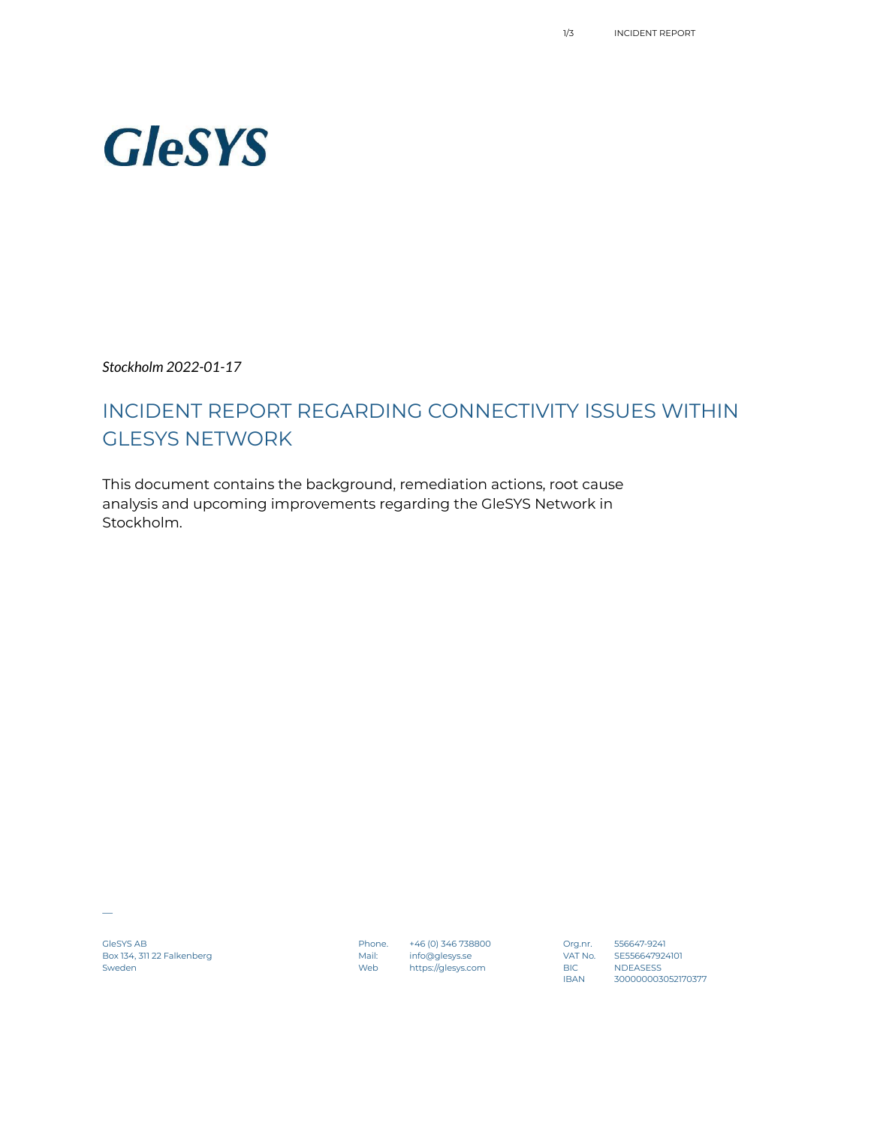# **GleSYS**

*Stockholm 2022-01-17*

# INCIDENT REPORT REGARDING CONNECTIVITY ISSUES WITHIN GLESYS NETWORK

This document contains the background, remediation actions, root cause analysis and upcoming improvements regarding the GleSYS Network in Stockholm.

 $\overline{\phantom{a}}$ 

GleSYS AB Phone. +46 (0) 346 738800 Org.nr. 556647-9241 Box 134, 311 22 Falkenberg Mail: info@glesys.se VAT No. SE556647924101 Sweden Web https://glesys.com BIC NDEASESS

0rg.nr. 556647-9241<br>IAT No. SE556647924101<br>BIC NDEASESS<br>IBAN 300000003052170377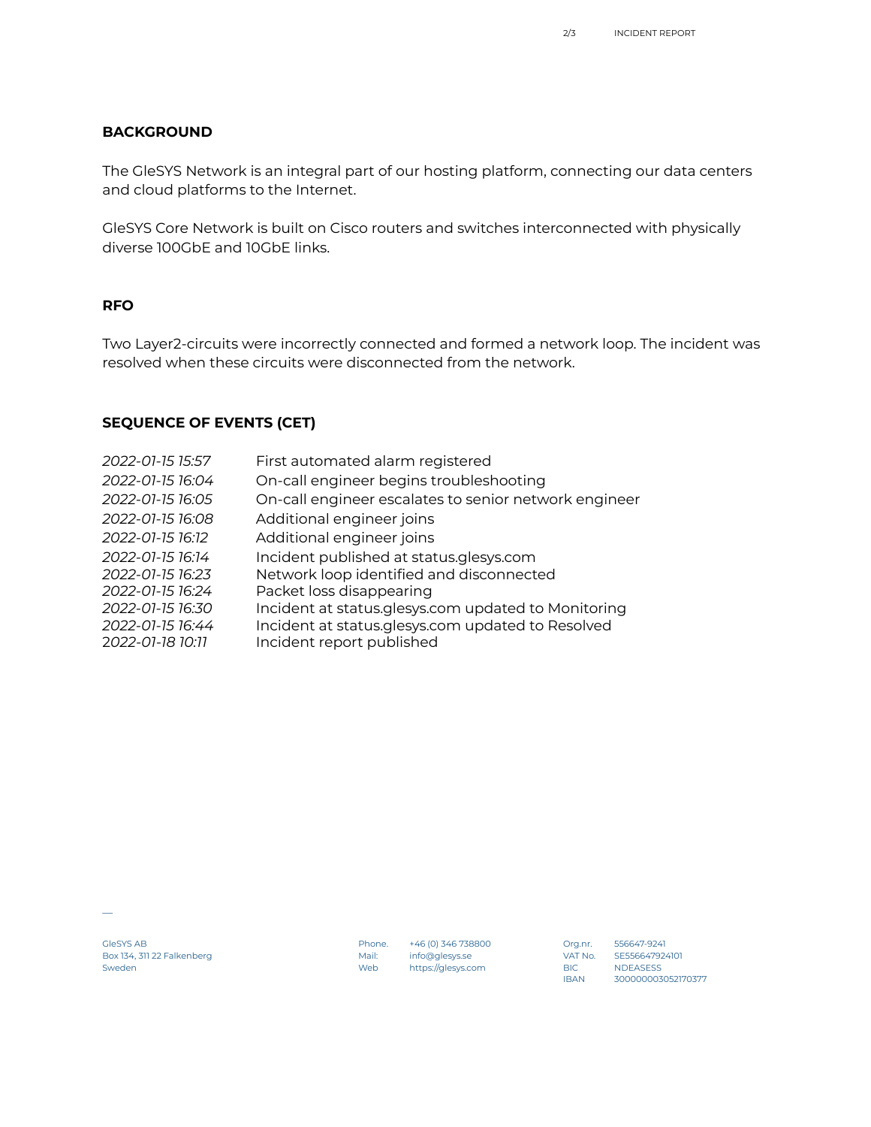### **BACKGROUND**

The GleSYS Network is an integral part of our hosting platform, connecting our data centers and cloud platforms to the Internet.

GleSYS Core Network is built on Cisco routers and switches interconnected with physically diverse 100GbE and 10GbE links.

#### **RFO**

Two Layer2-circuits were incorrectly connected and formed a network loop. The incident was resolved when these circuits were disconnected from the network.

## **SEQUENCE OF EVENTS (CET)**

| First automated alarm registered                      |
|-------------------------------------------------------|
| On-call engineer begins troubleshooting               |
| On-call engineer escalates to senior network engineer |
| Additional engineer joins                             |
| Additional engineer joins                             |
| Incident published at status.glesys.com               |
| Network loop identified and disconnected              |
| Packet loss disappearing                              |
| Incident at status.glesys.com updated to Monitoring   |
| Incident at status.glesys.com updated to Resolved     |
| Incident report published                             |
|                                                       |

GleSYS AB Phone. +46 (0) 346 738800 Org.nr. 556647-9241 Box 134, 311 22 Falkenberg Mail: info@glesys.se VAT No. SE556647924101 Sweden Web https://glesys.com BIC NDEASESS

▁

0rg.nr. 556647-9241<br>IAT No. SE556647924101<br>BIC NDEASESS<br>IBAN 300000003052170377